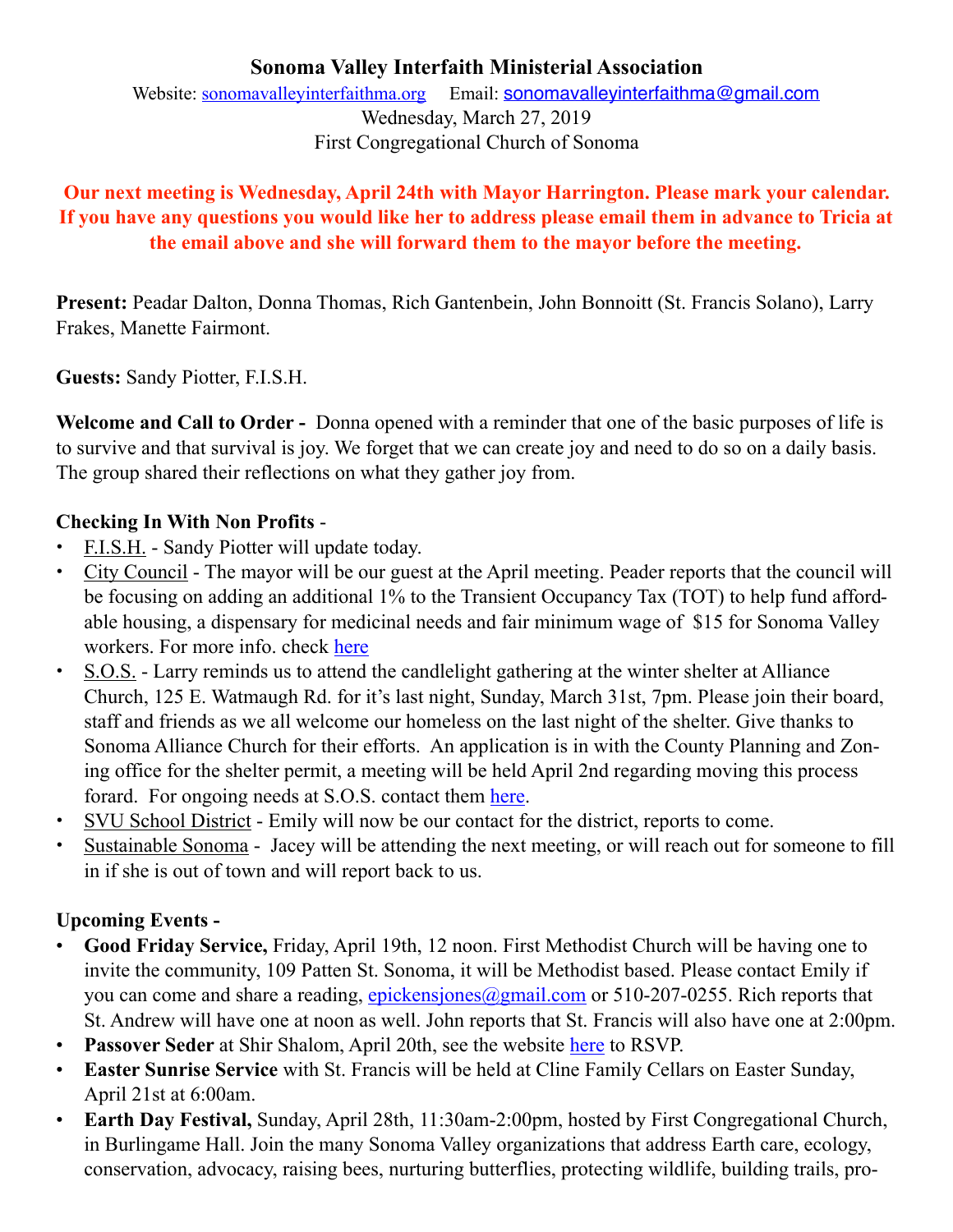#### **Sonoma Valley Interfaith Ministerial Association**  Website: [sonomavalleyinterfaithma.org](http://sonomavalleyinterfaithma.org) Email: [sonomavalleyinterfaithma@gmail.com](mailto:sonomavalleyinterfaithma@gmail.com)

Wednesday, March 27, 2019 First Congregational Church of Sonoma

## **Our next meeting is Wednesday, April 24th with Mayor Harrington. Please mark your calendar. If you have any questions you would like her to address please email them in advance to Tricia at the email above and she will forward them to the mayor before the meeting.**

**Present:** Peadar Dalton, Donna Thomas, Rich Gantenbein, John Bonnoitt (St. Francis Solano), Larry Frakes, Manette Fairmont.

**Guests:** Sandy Piotter, F.I.S.H.

**Welcome and Call to Order -** Donna opened with a reminder that one of the basic purposes of life is to survive and that survival is joy. We forget that we can create joy and need to do so on a daily basis. The group shared their reflections on what they gather joy from.

## **Checking In With Non Profits** -

- **•** F.I.S.H. Sandy Piotter will update today.
- **•** City Council The mayor will be our guest at the April meeting. Peader reports that the council will be focusing on adding an additional 1% to the Transient Occupancy Tax (TOT) to help fund affordable housing, a dispensary for medicinal needs and fair minimum wage of \$15 for Sonoma Valley workers. For more info. check [here](https://www.sonomacity.org/departments/city-council/)
- **•** S.O.S. Larry reminds us to attend the candlelight gathering at the winter shelter at Alliance Church, 125 E. Watmaugh Rd. for it's last night, Sunday, March 31st, 7pm. Please join their board, staff and friends as we all welcome our homeless on the last night of the shelter. Give thanks to Sonoma Alliance Church for their efforts. An application is in with the County Planning and Zoning office for the shelter permit, a meeting will be held April 2nd regarding moving this process forard. For ongoing needs at S.O.S. contact them [here](http://www.sonomaovernightsupport.org).
- **•** SVU School District Emily will now be our contact for the district, reports to come.
- **•** Sustainable Sonoma Jacey will be attending the next meeting, or will reach out for someone to fill in if she is out of town and will report back to us.

# **Upcoming Events -**

- **Good Friday Service,** Friday, April 19th, 12 noon. First Methodist Church will be having one to invite the community, 109 Patten St. Sonoma, it will be Methodist based. Please contact Emily if you can come and share a reading, [epickensjones@gmail.com](mailto:epickensjones@gmail.com) or 510-207-0255. Rich reports that St. Andrew will have one at noon as well. John reports that St. Francis will also have one at 2:00pm.
- **Passover Seder** at Shir Shalom, April 20th, see the website [here](http://www.shir-shalom.org/index.html) to RSVP.
- **Easter Sunrise Service** with St. Francis will be held at Cline Family Cellars on Easter Sunday, April 21st at 6:00am.
- **Earth Day Festival,** Sunday, April 28th, 11:30am-2:00pm, hosted by First Congregational Church, in Burlingame Hall. Join the many Sonoma Valley organizations that address Earth care, ecology, conservation, advocacy, raising bees, nurturing butterflies, protecting wildlife, building trails, pro-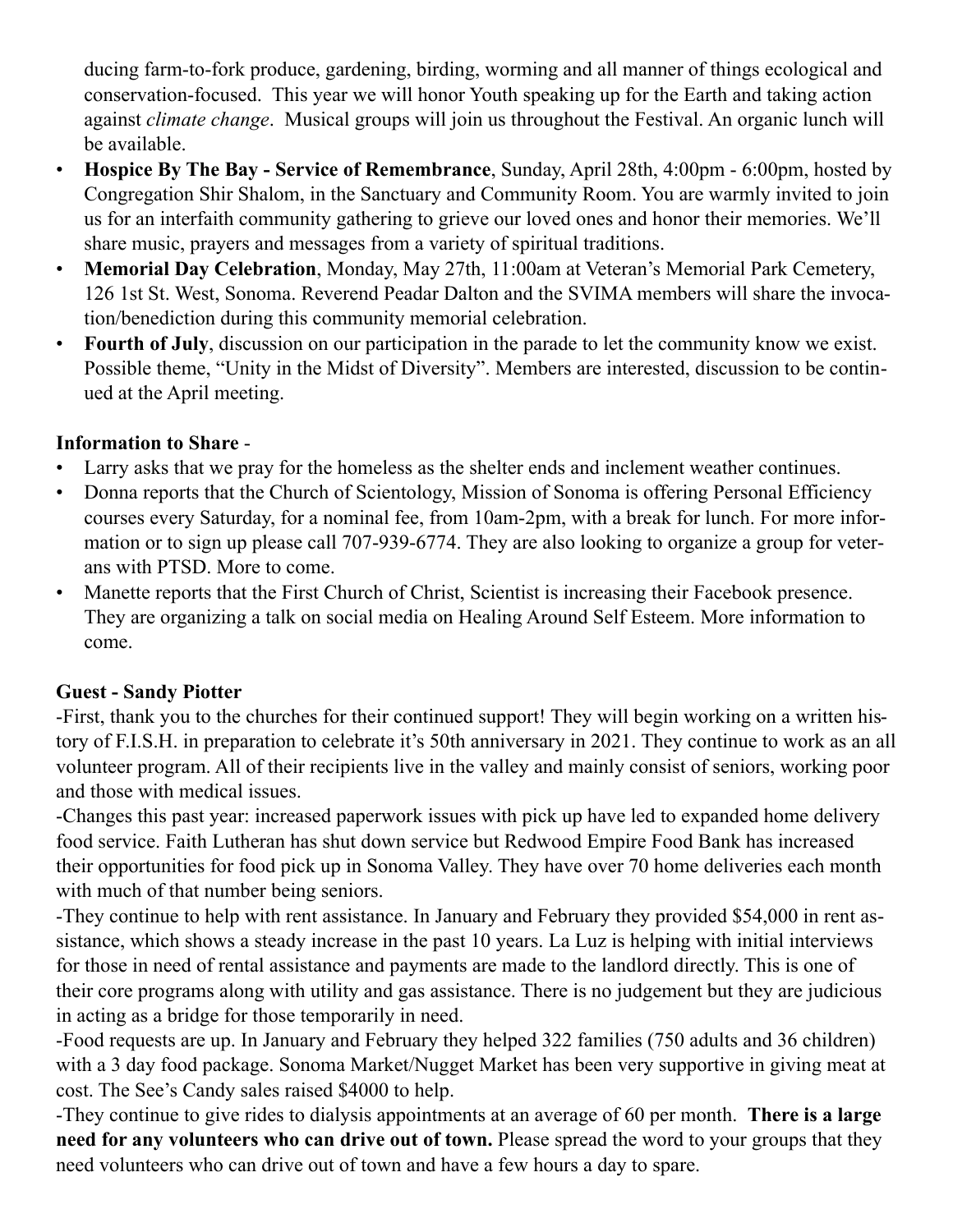ducing farm-to-fork produce, gardening, birding, worming and all manner of things ecological and conservation-focused. This year we will honor Youth speaking up for the Earth and taking action against *climate change*. Musical groups will join us throughout the Festival. An organic lunch will be available.

- **Hospice By The Bay Service of Remembrance**, Sunday, April 28th, 4:00pm 6:00pm, hosted by Congregation Shir Shalom, in the Sanctuary and Community Room. You are warmly invited to join us for an interfaith community gathering to grieve our loved ones and honor their memories. We'll share music, prayers and messages from a variety of spiritual traditions.
- **Memorial Day Celebration**, Monday, May 27th, 11:00am at Veteran's Memorial Park Cemetery, 126 1st St. West, Sonoma. Reverend Peadar Dalton and the SVIMA members will share the invocation/benediction during this community memorial celebration.
- **Fourth of July**, discussion on our participation in the parade to let the community know we exist. Possible theme, "Unity in the Midst of Diversity". Members are interested, discussion to be continued at the April meeting.

## **Information to Share** -

- Larry asks that we pray for the homeless as the shelter ends and inclement weather continues.
- Donna reports that the Church of Scientology, Mission of Sonoma is offering Personal Efficiency courses every Saturday, for a nominal fee, from 10am-2pm, with a break for lunch. For more information or to sign up please call 707-939-6774. They are also looking to organize a group for veterans with PTSD. More to come.
- Manette reports that the First Church of Christ, Scientist is increasing their Facebook presence. They are organizing a talk on social media on Healing Around Self Esteem. More information to come.

## **Guest - Sandy Piotter**

-First, thank you to the churches for their continued support! They will begin working on a written history of F.I.S.H. in preparation to celebrate it's 50th anniversary in 2021. They continue to work as an all volunteer program. All of their recipients live in the valley and mainly consist of seniors, working poor and those with medical issues.

-Changes this past year: increased paperwork issues with pick up have led to expanded home delivery food service. Faith Lutheran has shut down service but Redwood Empire Food Bank has increased their opportunities for food pick up in Sonoma Valley. They have over 70 home deliveries each month with much of that number being seniors.

-They continue to help with rent assistance. In January and February they provided \$54,000 in rent assistance, which shows a steady increase in the past 10 years. La Luz is helping with initial interviews for those in need of rental assistance and payments are made to the landlord directly. This is one of their core programs along with utility and gas assistance. There is no judgement but they are judicious in acting as a bridge for those temporarily in need.

-Food requests are up. In January and February they helped 322 families (750 adults and 36 children) with a 3 day food package. Sonoma Market/Nugget Market has been very supportive in giving meat at cost. The See's Candy sales raised \$4000 to help.

-They continue to give rides to dialysis appointments at an average of 60 per month. **There is a large need for any volunteers who can drive out of town.** Please spread the word to your groups that they need volunteers who can drive out of town and have a few hours a day to spare.